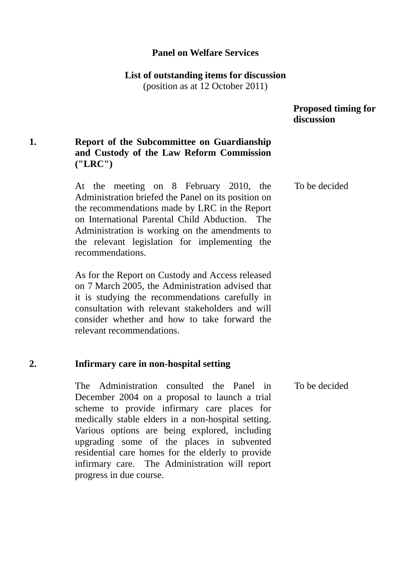## **Panel on Welfare Services**

**List of outstanding items for discussion** 

(position as at 12 October 2011)

### **Proposed timing for discussion**

To be decided

# **1. Report of the Subcommittee on Guardianship and Custody of the Law Reform Commission ("LRC")**

At the meeting on 8 February 2010, the Administration briefed the Panel on its position on the recommendations made by LRC in the Report on International Parental Child Abduction. The Administration is working on the amendments to the relevant legislation for implementing the recommendations.

As for the Report on Custody and Access released on 7 March 2005, the Administration advised that it is studying the recommendations carefully in consultation with relevant stakeholders and will consider whether and how to take forward the relevant recommendations.

### **2. Infirmary care in non-hospital setting**

The Administration consulted the Panel in December 2004 on a proposal to launch a trial scheme to provide infirmary care places for medically stable elders in a non-hospital setting. Various options are being explored, including upgrading some of the places in subvented residential care homes for the elderly to provide infirmary care. The Administration will report progress in due course. To be decided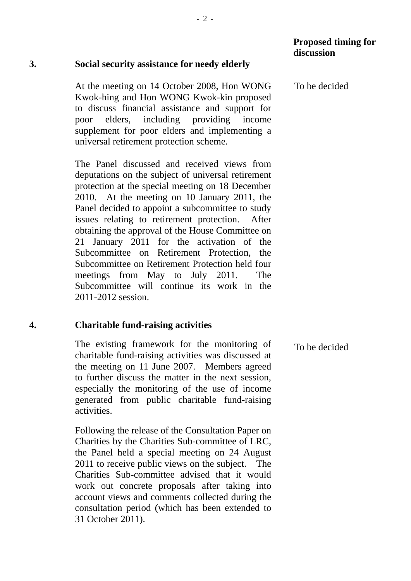### **Proposed timing for discussion**

To be decided

#### **3. Social security assistance for needy elderly**

At the meeting on 14 October 2008, Hon WONG Kwok-hing and Hon WONG Kwok-kin proposed to discuss financial assistance and support for poor elders, including providing income supplement for poor elders and implementing a universal retirement protection scheme.

The Panel discussed and received views from deputations on the subject of universal retirement protection at the special meeting on 18 December 2010. At the meeting on 10 January 2011, the Panel decided to appoint a subcommittee to study issues relating to retirement protection. After obtaining the approval of the House Committee on 21 January 2011 for the activation of the Subcommittee on Retirement Protection, the Subcommittee on Retirement Protection held four meetings from May to July 2011. The Subcommittee will continue its work in the 2011-2012 session.

### **4. Charitable fund-raising activities**

The existing framework for the monitoring of charitable fund-raising activities was discussed at the meeting on 11 June 2007. Members agreed to further discuss the matter in the next session, especially the monitoring of the use of income generated from public charitable fund-raising activities. To be decided

Following the release of the Consultation Paper on Charities by the Charities Sub-committee of LRC, the Panel held a special meeting on 24 August 2011 to receive public views on the subject. The Charities Sub-committee advised that it would work out concrete proposals after taking into account views and comments collected during the consultation period (which has been extended to 31 October 2011).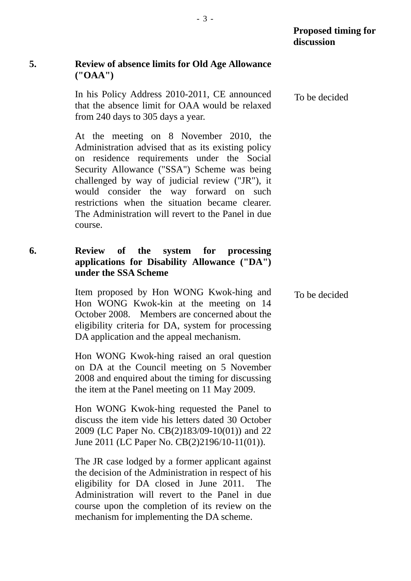To be decided

# **5. Review of absence limits for Old Age Allowance ("OAA")**

In his Policy Address 2010-2011, CE announced that the absence limit for OAA would be relaxed from 240 days to 305 days a year. To be decided

At the meeting on 8 November 2010, the Administration advised that as its existing policy on residence requirements under the Social Security Allowance ("SSA") Scheme was being challenged by way of judicial review ("JR"), it would consider the way forward on such restrictions when the situation became clearer. The Administration will revert to the Panel in due course.

## **6. Review of the system for processing applications for Disability Allowance ("DA") under the SSA Scheme**

Item proposed by Hon WONG Kwok-hing and Hon WONG Kwok-kin at the meeting on 14 October 2008. Members are concerned about the eligibility criteria for DA, system for processing DA application and the appeal mechanism.

Hon WONG Kwok-hing raised an oral question on DA at the Council meeting on 5 November 2008 and enquired about the timing for discussing the item at the Panel meeting on 11 May 2009.

Hon WONG Kwok-hing requested the Panel to discuss the item vide his letters dated 30 October 2009 (LC Paper No. CB(2)183/09-10(01)) and 22 June 2011 (LC Paper No. CB(2)2196/10-11(01)).

The JR case lodged by a former applicant against the decision of the Administration in respect of his eligibility for DA closed in June 2011. The Administration will revert to the Panel in due course upon the completion of its review on the mechanism for implementing the DA scheme.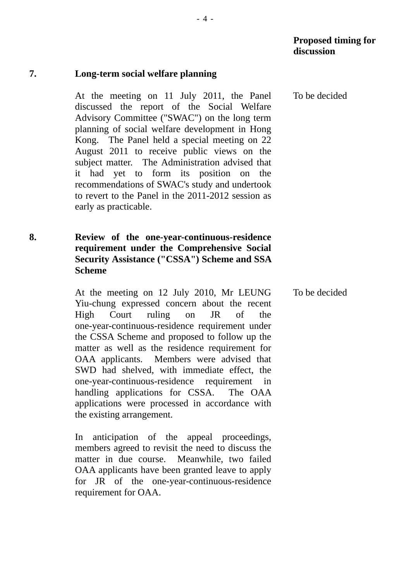#### **7. Long-term social welfare planning**

At the meeting on 11 July 2011, the Panel discussed the report of the Social Welfare Advisory Committee ("SWAC") on the long term planning of social welfare development in Hong Kong. The Panel held a special meeting on 22 August 2011 to receive public views on the subject matter. The Administration advised that it had yet to form its position on the recommendations of SWAC's study and undertook to revert to the Panel in the 2011-2012 session as early as practicable.

## **8. Review of the one-year-continuous-residence requirement under the Comprehensive Social Security Assistance ("CSSA") Scheme and SSA Scheme**

At the meeting on 12 July 2010, Mr LEUNG Yiu-chung expressed concern about the recent High Court ruling on JR of the one-year-continuous-residence requirement under the CSSA Scheme and proposed to follow up the matter as well as the residence requirement for OAA applicants. Members were advised that SWD had shelved, with immediate effect, the one-year-continuous-residence requirement in handling applications for CSSA. The OAA applications were processed in accordance with the existing arrangement.

In anticipation of the appeal proceedings, members agreed to revisit the need to discuss the matter in due course. Meanwhile, two failed OAA applicants have been granted leave to apply for JR of the one-year-continuous-residence requirement for OAA.

To be decided

To be decided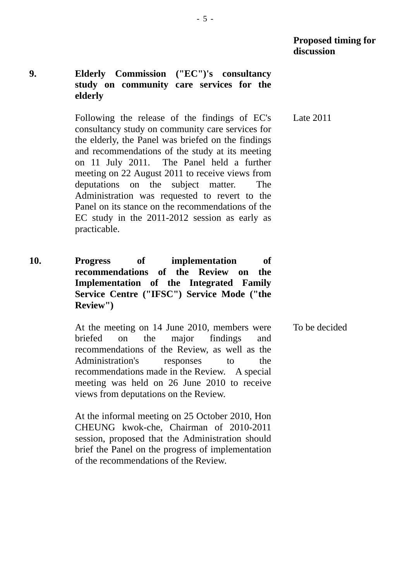## **9. Elderly Commission ("EC")'s consultancy study on community care services for the elderly**

Following the release of the findings of EC's consultancy study on community care services for the elderly, the Panel was briefed on the findings and recommendations of the study at its meeting on 11 July 2011. The Panel held a further meeting on 22 August 2011 to receive views from deputations on the subject matter. The Administration was requested to revert to the Panel on its stance on the recommendations of the EC study in the 2011-2012 session as early as practicable.

**10. Progress of implementation of recommendations of the Review on the Implementation of the Integrated Family Service Centre ("IFSC") Service Mode ("the Review")** 

> At the meeting on 14 June 2010, members were briefed on the major findings and recommendations of the Review, as well as the Administration's responses to the recommendations made in the Review. A special meeting was held on 26 June 2010 to receive views from deputations on the Review. To be decided

At the informal meeting on 25 October 2010, Hon CHEUNG kwok-che, Chairman of 2010-2011 session, proposed that the Administration should brief the Panel on the progress of implementation of the recommendations of the Review.

Late 2011